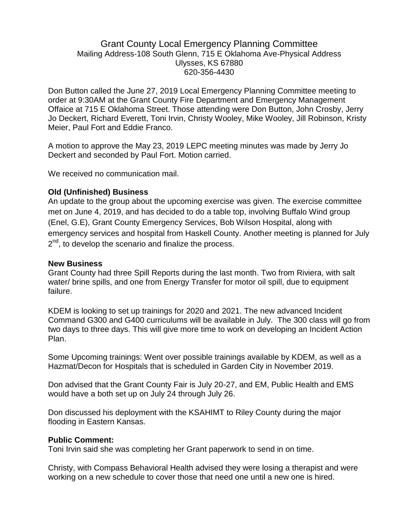## Grant County Local Emergency Planning Committee Mailing Address-108 South Glenn, 715 E Oklahoma Ave-Physical Address Ulysses, KS 67880 620-356-4430

Don Button called the June 27, 2019 Local Emergency Planning Committee meeting to order at 9:30AM at the Grant County Fire Department and Emergency Management Offaice at 715 E Oklahoma Street. Those attending were Don Button, John Crosby, Jerry Jo Deckert, Richard Everett, Toni Irvin, Christy Wooley, Mike Wooley, Jill Robinson, Kristy Meier, Paul Fort and Eddie Franco.

A motion to approve the May 23, 2019 LEPC meeting minutes was made by Jerry Jo Deckert and seconded by Paul Fort. Motion carried.

We received no communication mail.

## **Old (Unfinished) Business**

An update to the group about the upcoming exercise was given. The exercise committee met on June 4, 2019, and has decided to do a table top, involving Buffalo Wind group (Enel, G.E), Grant County Emergency Services, Bob Wilson Hospital, along with emergency services and hospital from Haskell County. Another meeting is planned for July 2<sup>nd</sup>, to develop the scenario and finalize the process.

## **New Business**

Grant County had three Spill Reports during the last month. Two from Riviera, with salt water/ brine spills, and one from Energy Transfer for motor oil spill, due to equipment failure.

KDEM is looking to set up trainings for 2020 and 2021. The new advanced Incident Command G300 and G400 curriculums will be available in July. The 300 class will go from two days to three days. This will give more time to work on developing an Incident Action Plan.

Some Upcoming trainings: Went over possible trainings available by KDEM, as well as a Hazmat/Decon for Hospitals that is scheduled in Garden City in November 2019.

Don advised that the Grant County Fair is July 20-27, and EM, Public Health and EMS would have a both set up on July 24 through July 26.

Don discussed his deployment with the KSAHIMT to Riley County during the major flooding in Eastern Kansas.

## **Public Comment:**

Toni Irvin said she was completing her Grant paperwork to send in on time.

Christy, with Compass Behavioral Health advised they were losing a therapist and were working on a new schedule to cover those that need one until a new one is hired.